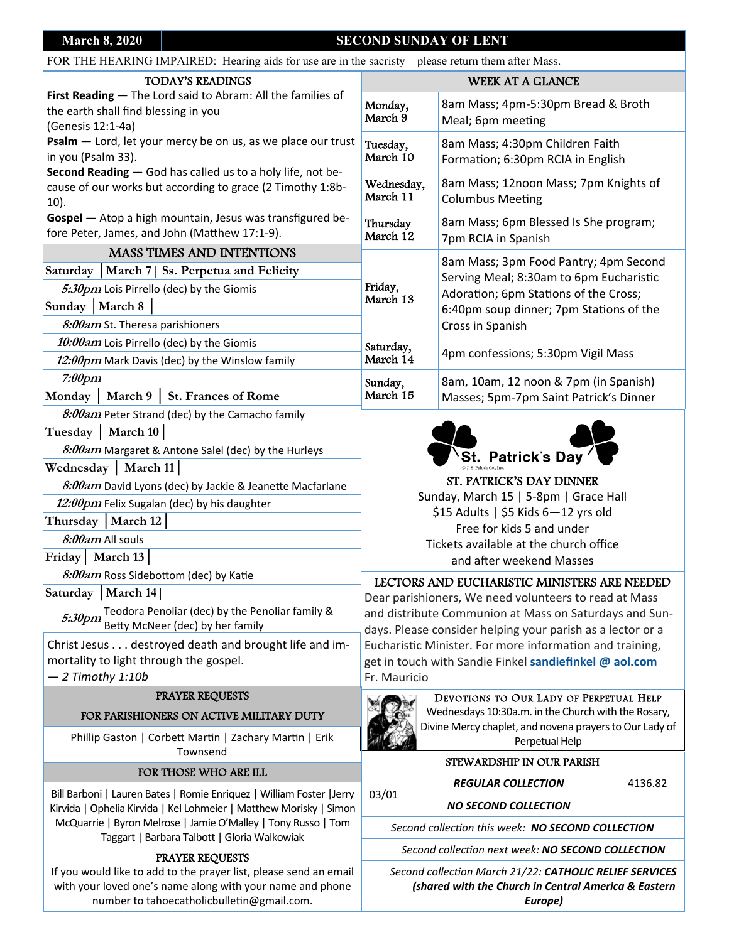# **March 8, 2020** SECOND SUNDAY OF LENT

Monday, March 9

Tuesday, March 10

Wednesday, March 11

FOR THE HEARING IMPAIRED: Hearing aids for use are in the sacristy—please return them after Mass.

# TODAY'S READINGS

**First Reading** — The Lord said to Abram: All the families of the earth shall find blessing in you

(Genesis 12:1‐4a)

**Psalm** — Lord, let your mercy be on us, as we place our trust in you (Psalm 33).

**Second Reading** — God has called us to a holy life, not be‐ cause of our works but according to grace (2 Timothy 1:8b‐ 10).

**Monday │ March 9 │ St. Frances of Rome** 

12:00pm Felix Sugalan (dec) by his daughter

8:00am Ross Sidebottom (dec) by Katie

mortality to light through the gospel.

**Tuesday │ March 10│**

**Wednesday │ March 11│**

**Thursday │March 12│ 8:00am** All souls **Friday│ March 13│**

**Saturday │March 14|** 

*— 2 Timothy 1:10b*

8:00am Peter Strand (dec) by the Camacho family

8:00am Margaret & Antone Salel (dec) by the Hurleys

8:00am David Lyons (dec) by Jackie & Jeanette Macfarlane

| Gospel - Atop a high mountain, Jesus was transfigured be-<br>fore Peter, James, and John (Matthew 17:1-9). | Thursday<br>March 12  | 8am Mass; 6pm Blessed Is She program;<br>7pm RCIA in Spanish                                                                                                         |
|------------------------------------------------------------------------------------------------------------|-----------------------|----------------------------------------------------------------------------------------------------------------------------------------------------------------------|
| <b>MASS TIMES AND INTENTIONS</b>                                                                           | Friday,<br>March 13   | 8am Mass; 3pm Food Pantry; 4pm Second<br>Serving Meal; 8:30am to 6pm Eucharistic<br>Adoration; 6pm Stations of the Cross;<br>6:40pm soup dinner; 7pm Stations of the |
| March 7  Ss. Perpetua and Felicity<br>Saturday                                                             |                       |                                                                                                                                                                      |
| 5:30pm Lois Pirrello (dec) by the Giomis                                                                   |                       |                                                                                                                                                                      |
| Maxch 8<br>Sunday                                                                                          |                       |                                                                                                                                                                      |
| 8:00am St. Theresa parishioners                                                                            |                       | Cross in Spanish                                                                                                                                                     |
| 10:00am Lois Pirrello (dec) by the Giomis                                                                  | Saturday,<br>March 14 | 4pm confessions; 5:30pm Vigil Mass                                                                                                                                   |
| 12:00pm Mark Davis (dec) by the Winslow family                                                             |                       |                                                                                                                                                                      |
| $7:00$ pm                                                                                                  | Sunday,<br>March 15   | 8am, 10am, 12 noon & 7pm (in Spanish)<br>Maccoc: 5nm-7nm Saint Datrick's Dinner                                                                                      |
| Monday   March 9   St. Frances of Rome                                                                     |                       |                                                                                                                                                                      |

Masses; 5pm‐7pm Saint Patrick's Dinner

8am Mass; 4pm‐5:30pm Bread & Broth

8am Mass; 12noon Mass; 7pm Knights of

8am Mass; 4:30pm Children Faith Formation; 6:30pm RCIA in English

WEEK AT A GLANCE

Meal; 6pm meeting

Columbus Meeting



# ST. PATRICK'S DAY DINNER

Sunday, March 15 | 5‐8pm | Grace Hall \$15 Adults | \$5 Kids 6—12 yrs old Free for kids 5 and under Tickets available at the church office and after weekend Masses

LECTORS AND EUCHARISTIC MINISTERS ARE NEEDED

Dear parishioners, We need volunteers to read at Mass and distribute Communion at Mass on Saturdays and Sun‐ days. Please consider helping your parish as a lector or a Eucharistic Minister. For more information and training, get in touch with Sandie Finkel **sandiefinkel @ aol.com**  Fr. Mauricio



03/01

DEVOTIONS TO OUR LADY OF PERPETUAL HELP Wednesdays 10:30a.m. in the Church with the Rosary, Divine Mercy chaplet, and novena prayers to Our Lady of Perpetual Help

## STEWARDSHIP IN OUR PARISH

*REGULAR COLLECTION* 4136.82

*NO SECOND COLLECTION* 

*Second collecƟon this week: NO SECOND COLLECTION*

*Second collecƟon next week: NO SECOND COLLECTION* 

*Second collecƟon March 21/22: CATHOLIC RELIEF SERVICES (shared with the Church in Central America & Eastern Europe)* 

Phillip Gaston | Corbett Martin | Zachary Martin | Erik Townsend

PRAYER REQUESTS FOR PARISHIONERS ON ACTIVE MILITARY DUTY

**5:30pm** Teodora Penoliar (dec) by the Penoliar family & Betty McNeer (dec) by her family

Christ Jesus . . . destroyed death and brought life and im‐

## FOR THOSE WHO ARE ILL

Bill Barboni | Lauren Bates | Romie Enriquez | William Foster |Jerry Kirvida | Ophelia Kirvida | Kel Lohmeier | Matthew Morisky | Simon McQuarrie | Byron Melrose | Jamie O'Malley | Tony Russo | Tom Taggart | Barbara Talbott | Gloria Walkowiak

#### PRAYER REQUESTS

If you would like to add to the prayer list, please send an email with your loved one's name along with your name and phone number to tahoecatholicbulletin@gmail.com.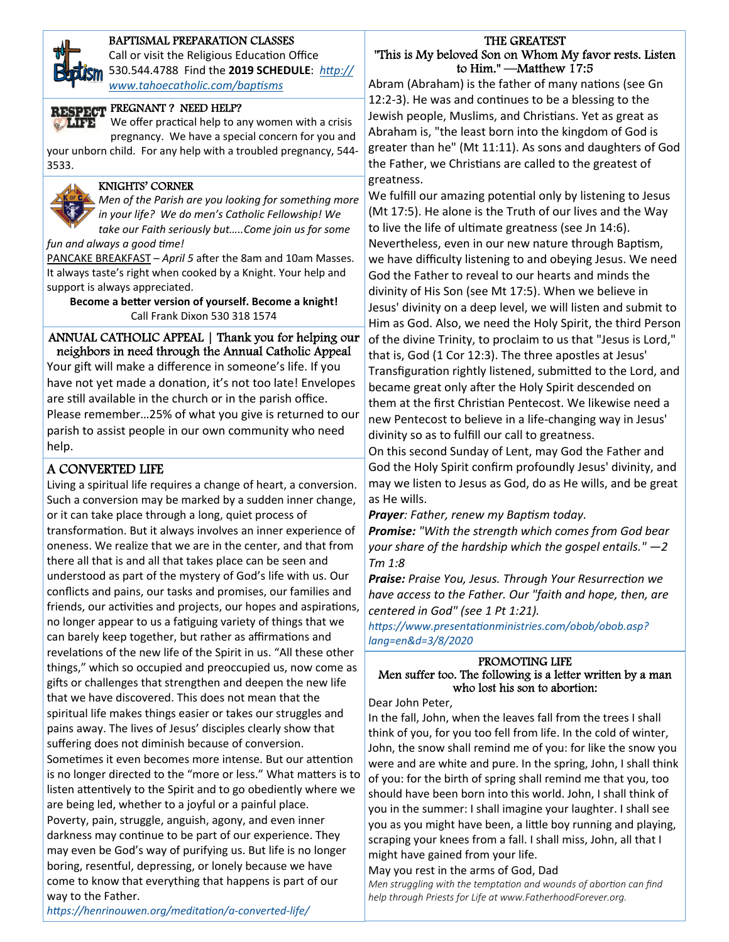

## BAPTISMAL PREPARATION CLASSES

Call or visit the Religious Education Office

 *www.tahoecatholic.com/bapƟsms* 530.544.4788 Find the 2019 SCHEDULE: *http://* 

# **RESPECT PREGNANT? NEED HELP?**



 pregnancy. We have a special concern for you and We offer practical help to any women with a crisis your unborn child. For any help with a troubled pregnancy, 544‐ 3533.



#### KNIGHTS' CORNER

 *take our Faith seriously but…..Come join us for some Men of the Parish are you looking for something more in your life? We do men's Catholic Fellowship! We* 

*fun and always a good Ɵme!* 

PANCAKE BREAKFAST - April 5 after the 8am and 10am Masses. It always taste's right when cooked by a Knight. Your help and support is always appreciated.

**Become a beƩer version of yourself. Become a knight!** Call Frank Dixon 530 318 1574

#### ANNUAL CATHOLIC APPEAL | Thank you for helping our neighbors in need through the Annual Catholic Appeal

Your gift will make a difference in someone's life. If you have not yet made a donation, it's not too late! Envelopes are still available in the church or in the parish office. Please remember…25% of what you give is returned to our parish to assist people in our own community who need help.

# A CONVERTED LIFE

Living a spiritual life requires a change of heart, a conversion. Such a conversion may be marked by a sudden inner change, or it can take place through a long, quiet process of transformation. But it always involves an inner experience of oneness. We realize that we are in the center, and that from there all that is and all that takes place can be seen and understood as part of the mystery of God's life with us. Our conflicts and pains, our tasks and promises, our families and friends, our activities and projects, our hopes and aspirations, no longer appear to us a fatiguing variety of things that we can barely keep together, but rather as affirmations and revelations of the new life of the Spirit in us. "All these other things," which so occupied and preoccupied us, now come as gifts or challenges that strengthen and deepen the new life that we have discovered. This does not mean that the spiritual life makes things easier or takes our struggles and pains away. The lives of Jesus' disciples clearly show that suffering does not diminish because of conversion. Sometimes it even becomes more intense. But our attention is no longer directed to the "more or less." What matters is to listen attentively to the Spirit and to go obediently where we are being led, whether to a joyful or a painful place. Poverty, pain, struggle, anguish, agony, and even inner darkness may continue to be part of our experience. They may even be God's way of purifying us. But life is no longer boring, resentful, depressing, or lonely because we have come to know that everything that happens is part of our way to the Father.

#### THE GREATEST "This is My beloved Son on Whom My favor rests. Listen to Him." - Matthew 17:5

Abram (Abraham) is the father of many nations (see Gn 12:2-3). He was and continues to be a blessing to the Jewish people, Muslims, and Christians. Yet as great as Abraham is, "the least born into the kingdom of God is greater than he" (Mt 11:11). As sons and daughters of God the Father, we Christians are called to the greatest of greatness.

We fulfill our amazing potential only by listening to Jesus (Mt 17:5). He alone is the Truth of our lives and the Way to live the life of ultimate greatness (see Jn 14:6). Nevertheless, even in our new nature through Baptism, we have difficulty listening to and obeying Jesus. We need God the Father to reveal to our hearts and minds the divinity of His Son (see Mt 17:5). When we believe in Jesus' divinity on a deep level, we will listen and submit to Him as God. Also, we need the Holy Spirit, the third Person of the divine Trinity, to proclaim to us that "Jesus is Lord," that is, God (1 Cor 12:3). The three apostles at Jesus' Transfiguration rightly listened, submitted to the Lord, and became great only after the Holy Spirit descended on them at the first Christian Pentecost. We likewise need a new Pentecost to believe in a life‐changing way in Jesus' divinity so as to fulfill our call to greatness.

On this second Sunday of Lent, may God the Father and God the Holy Spirit confirm profoundly Jesus' divinity, and may we listen to Jesus as God, do as He wills, and be great as He wills.

*Prayer: Father, renew my BapƟsm today.* 

*Promise: "With the strength which comes from God bear your share of the hardship which the gospel entails." —2 Tm 1:8* 

*Praise: Praise You, Jesus. Through Your ResurrecƟon we have access to the Father. Our "faith and hope, then, are centered in God" (see 1 Pt 1:21).* 

*hƩps://www.presentaƟonministries.com/obob/obob.asp? lang=en&d=3/8/2020* 

#### PROMOTING LIFE Men suffer too. The following is a letter written by a man

who lost his son to abortion: Dear John Peter,

In the fall, John, when the leaves fall from the trees I shall think of you, for you too fell from life. In the cold of winter, John, the snow shall remind me of you: for like the snow you were and are white and pure. In the spring, John, I shall think of you: for the birth of spring shall remind me that you, too should have been born into this world. John, I shall think of you in the summer: I shall imagine your laughter. I shall see you as you might have been, a little boy running and playing, scraping your knees from a fall. I shall miss, John, all that I might have gained from your life.

May you rest in the arms of God, Dad

*Men struggling with the temptaƟon and wounds of aborƟon can find help through Priests for Life at www.FatherhoodForever.org.* 

*hƩps://henrinouwen.org/meditaƟon/a‐converted‐life/*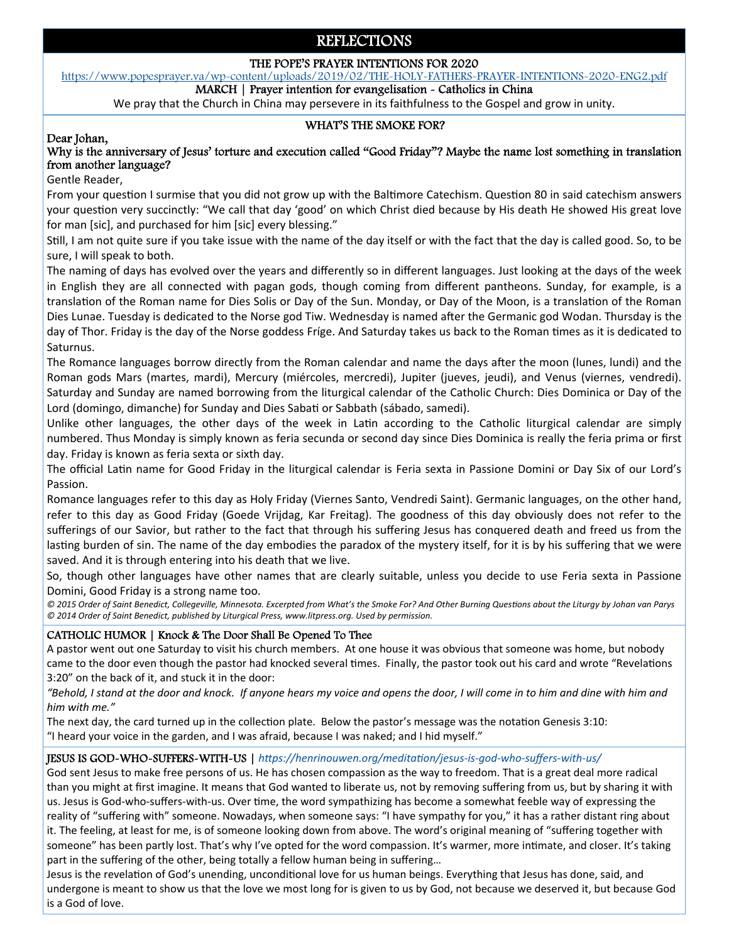# REFLECTIONS

#### THE POPE'S PRAYER INTENTIONS FOR 2020

https://www.popesprayer.va/wp-content/uploads/2019/02/THE-HOLY-FATHERS-PRAYER-INTENTIONS-2020-ENG2.pdf

## MARCH | Prayer intention for evangelisation - Catholics in China

We pray that the Church in China may persevere in its faithfulness to the Gospel and grow in unity.

#### WHAT'S THE SMOKE FOR?

## Dear Johan,

## Why is the anniversary of Jesus' torture and execution called "Good Friday"? Maybe the name lost something in translation from another language?

Gentle Reader,

From your question I surmise that you did not grow up with the Baltimore Catechism. Question 80 in said catechism answers your question very succinctly: "We call that day 'good' on which Christ died because by His death He showed His great love for man [sic], and purchased for him [sic] every blessing."

Still, I am not quite sure if you take issue with the name of the day itself or with the fact that the day is called good. So, to be sure, I will speak to both.

The naming of days has evolved over the years and differently so in different languages. Just looking at the days of the week in English they are all connected with pagan gods, though coming from different pantheons. Sunday, for example, is a translation of the Roman name for Dies Solis or Day of the Sun. Monday, or Day of the Moon, is a translation of the Roman Dies Lunae. Tuesday is dedicated to the Norse god Tiw. Wednesday is named after the Germanic god Wodan. Thursday is the day of Thor. Friday is the day of the Norse goddess Fríge. And Saturday takes us back to the Roman times as it is dedicated to Saturnus.

The Romance languages borrow directly from the Roman calendar and name the days after the moon (lunes, lundi) and the Roman gods Mars (martes, mardi), Mercury (miércoles, mercredi), Jupiter (jueves, jeudi), and Venus (viernes, vendredi). Saturday and Sunday are named borrowing from the liturgical calendar of the Catholic Church: Dies Dominica or Day of the Lord (domingo, dimanche) for Sunday and Dies Sabati or Sabbath (sábado, samedi).

Unlike other languages, the other days of the week in Latin according to the Catholic liturgical calendar are simply numbered. Thus Monday is simply known as feria secunda or second day since Dies Dominica is really the feria prima or first day. Friday is known as feria sexta or sixth day.

The official Latin name for Good Friday in the liturgical calendar is Feria sexta in Passione Domini or Day Six of our Lord's Passion.

Romance languages refer to this day as Holy Friday (Viernes Santo, Vendredi Saint). Germanic languages, on the other hand, refer to this day as Good Friday (Goede Vrijdag, Kar Freitag). The goodness of this day obviously does not refer to the sufferings of our Savior, but rather to the fact that through his suffering Jesus has conquered death and freed us from the lasting burden of sin. The name of the day embodies the paradox of the mystery itself, for it is by his suffering that we were saved. And it is through entering into his death that we live.

So, though other languages have other names that are clearly suitable, unless you decide to use Feria sexta in Passione Domini, Good Friday is a strong name too.

*© 2015 Order of Saint Benedict, Collegeville, Minnesota. Excerpted from What's the Smoke For? And Other Burning QuesƟons about the Liturgy by Johan van Parys © 2014 Order of Saint Benedict, published by Liturgical Press, www.litpress.org. Used by permission.* 

## CATHOLIC HUMOR | Knock & The Door Shall Be Opened To Thee

A pastor went out one Saturday to visit his church members. At one house it was obvious that someone was home, but nobody came to the door even though the pastor had knocked several times. Finally, the pastor took out his card and wrote "Revelations 3:20" on the back of it, and stuck it in the door:

*"Behold, I stand at the door and knock. If anyone hears my voice and opens the door, I will come in to him and dine with him and him with me."* 

The next day, the card turned up in the collection plate. Below the pastor's message was the notation Genesis 3:10: "I heard your voice in the garden, and I was afraid, because I was naked; and I hid myself."

#### JESUS IS GOD~WHO~SUFFERS~WITH~US | https://henrinouwen.org/meditation/jesus-is-god-who-suffers-with-us/

God sent Jesus to make free persons of us. He has chosen compassion as the way to freedom. That is a great deal more radical than you might at first imagine. It means that God wanted to liberate us, not by removing suffering from us, but by sharing it with us. Jesus is God-who-suffers-with-us. Over time, the word sympathizing has become a somewhat feeble way of expressing the reality of "suffering with" someone. Nowadays, when someone says: "I have sympathy for you," it has a rather distant ring about it. The feeling, at least for me, is of someone looking down from above. The word's original meaning of "suffering together with someone" has been partly lost. That's why I've opted for the word compassion. It's warmer, more intimate, and closer. It's taking part in the suffering of the other, being totally a fellow human being in suffering…

Jesus is the revelation of God's unending, unconditional love for us human beings. Everything that Jesus has done, said, and undergone is meant to show us that the love we most long for is given to us by God, not because we deserved it, but because God is a God of love.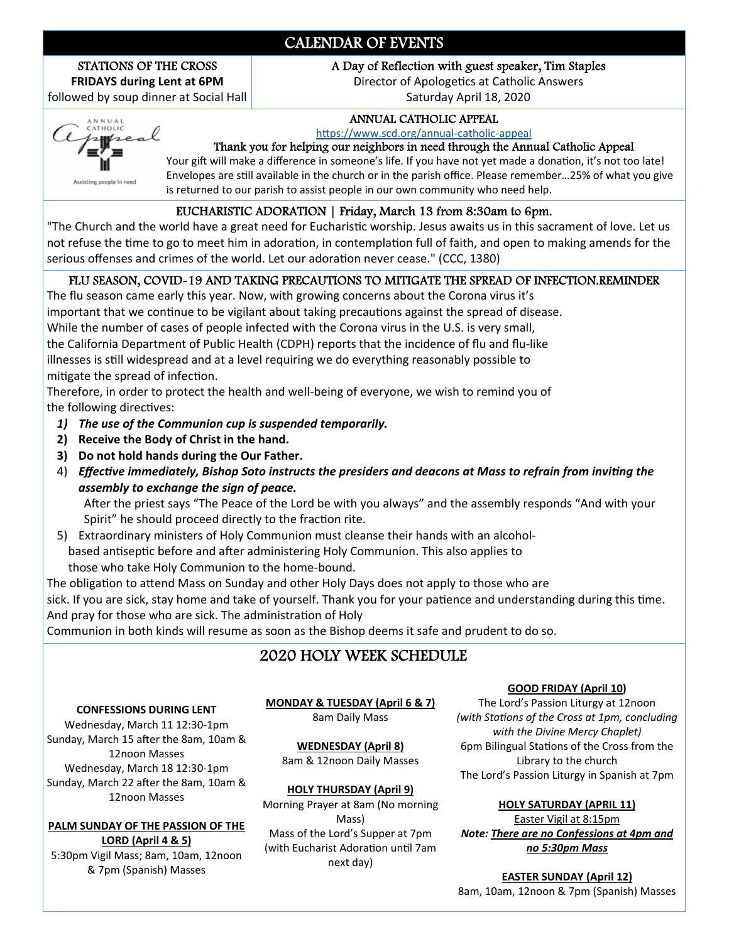# CALENDAR OF EVENTS

## STATIONS OF THE CROSS **FRIDAYS during Lent at 6PM**

followed by soup dinner at Social Hall

A Day of Reflection with guest speaker, Tim Staples Director of Apologetics at Catholic Answers

Saturday April 18, 2020



ANNUAL CATHOLIC APPEAL https://www.scd.org/annual-catholic-appeal

#### Thank you for helping our neighbors in need through the Annual Catholic Appeal

 is returned to our parish to assist people in our own community who need help. Your gift will make a difference in someone's life. If you have not yet made a donation, it's not too late! Envelopes are sƟll available in the church or in the parish office. Please remember…25% of what you give

#### EUCHARISTIC ADORATION | Friday, March 13 from 8:30am to 6pm.

"The Church and the world have a great need for Eucharistic worship. Jesus awaits us in this sacrament of love. Let us not refuse the time to go to meet him in adoration, in contemplation full of faith, and open to making amends for the serious offenses and crimes of the world. Let our adoration never cease." (CCC, 1380)

## FLU SEASON, COVID-19 AND TAKING PRECAUTIONS TO MITIGATE THE SPREAD OF INFECTION.REMINDER

The flu season came early this year. Now, with growing concerns about the Corona virus it's important that we continue to be vigilant about taking precautions against the spread of disease. While the number of cases of people infected with the Corona virus in the U.S. is very small, the California Department of Public Health (CDPH) reports that the incidence of flu and flu‐like illnesses is still widespread and at a level requiring we do everything reasonably possible to mitigate the spread of infection.

Therefore, in order to protect the health and well‐being of everyone, we wish to remind you of the following directives:

- *1) The use of the Communion cup is suspended temporarily.*
- **2) Receive the Body of Christ in the hand.**
- **3) Do not hold hands during the Our Father.**
- 4) *EffecƟve immediately, Bishop Soto instructs the presiders and deacons at Mass to refrain from inviƟng the assembly to exchange the sign of peace.*

After the priest says "The Peace of the Lord be with you always" and the assembly responds "And with your Spirit" he should proceed directly to the fraction rite.

5) Extraordinary ministers of Holy Communion must cleanse their hands with an alcoholbased antiseptic before and after administering Holy Communion. This also applies to those who take Holy Communion to the home‐bound.

The obligation to attend Mass on Sunday and other Holy Days does not apply to those who are

sick. If you are sick, stay home and take of yourself. Thank you for your patience and understanding during this time. And pray for those who are sick. The administration of Holy

Communion in both kinds will resume as soon as the Bishop deems it safe and prudent to do so.

# 2020 HOLY WEEK SCHEDULE

#### **CONFESSIONS DURING LENT**

Wednesday, March 11 12:30‐1pm Sunday, March 15 after the 8am, 10am & 12noon Masses Wednesday, March 18 12:30‐1pm Sunday, March 22 after the 8am, 10am & 12noon Masses

#### **PALM SUNDAY OF THE PASSION OF THE LORD (April 4 & 5)**

5:30pm Vigil Mass; 8am, 10am, 12noon & 7pm (Spanish) Masses

**MONDAY & TUESDAY (April 6 & 7)** 

8am Daily Mass

**WEDNESDAY (April 8)** 

8am & 12noon Daily Masses

## **HOLY THURSDAY (April 9)**

Morning Prayer at 8am (No morning Mass) Mass of the Lord's Supper at 7pm (with Eucharist Adoration until 7am next day)

#### **GOOD FRIDAY (April 10)**

The Lord's Passion Liturgy at 12noon *(with StaƟons of the Cross at 1pm, concluding with the Divine Mercy Chaplet)*  6pm Bilingual Stations of the Cross from the Library to the church The Lord's Passion Liturgy in Spanish at 7pm

**HOLY SATURDAY (APRIL 11)** 

Easter Vigil at 8:15pm *Note: There are no Confessions at 4pm and no 5:30pm Mass* 

**EASTER SUNDAY (April 12)**  8am, 10am, 12noon & 7pm (Spanish) Masses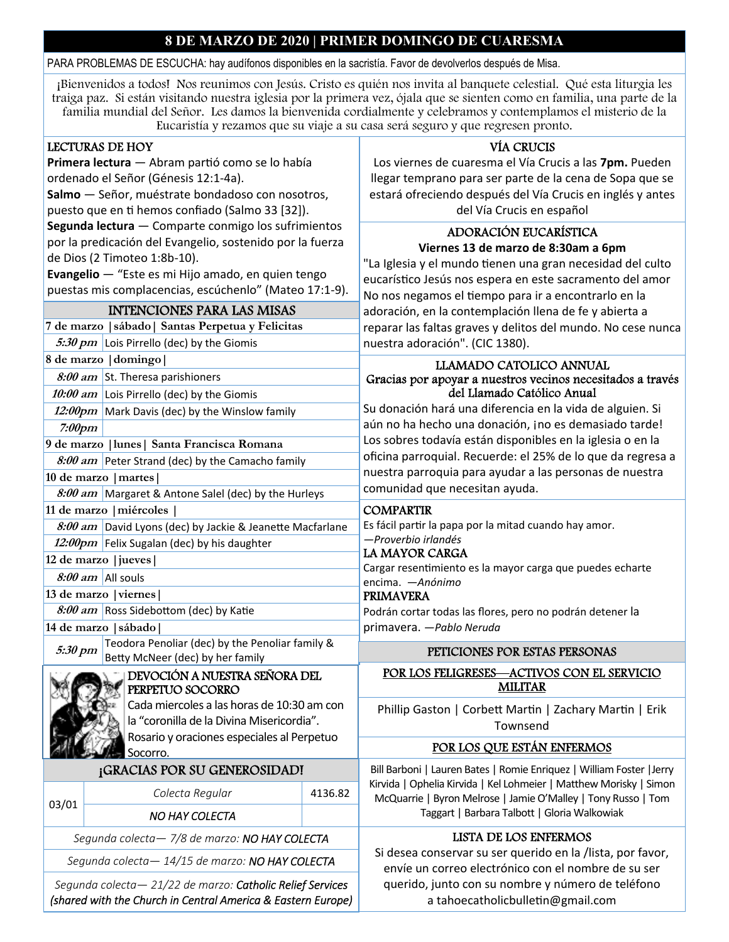# **8 DE MARZO DE 2020 | PRIMER DOMINGO DE CUARESMA**

#### PARA PROBLEMAS DE ESCUCHA: hay audífonos disponibles en la sacristía. Favor de devolverlos después de Misa.

¡Bienvenidos a todos! Nos reunimos con Jesús. Cristo es quién nos invita al banquete celestial. Qué esta liturgia les traiga paz. Si están visitando nuestra iglesia por la primera vez, ójala que se sienten como en familia, una parte de la familia mundial del Señor. Les damos la bienvenida cordialmente y celebramos y contemplamos el misterio de la Eucaristía y rezamos que su viaje a su casa será seguro y que regresen pronto.

| LECTURAS DE HOY                                                                                                            | <b>VÍA CRUCIS</b>                                                                                                                                                                                                                             |  |
|----------------------------------------------------------------------------------------------------------------------------|-----------------------------------------------------------------------------------------------------------------------------------------------------------------------------------------------------------------------------------------------|--|
| Primera lectura - Abram partió como se lo había                                                                            | Los viernes de cuaresma el Vía Crucis a las 7pm. Pueden                                                                                                                                                                                       |  |
| ordenado el Señor (Génesis 12:1-4a).                                                                                       | llegar temprano para ser parte de la cena de Sopa que se                                                                                                                                                                                      |  |
| Salmo - Señor, muéstrate bondadoso con nosotros,                                                                           | estará ofreciendo después del Vía Crucis en inglés y antes                                                                                                                                                                                    |  |
| puesto que en ti hemos confiado (Salmo 33 [32]).                                                                           | del Vía Crucis en español                                                                                                                                                                                                                     |  |
| Segunda lectura - Comparte conmigo los sufrimientos                                                                        | ADORACIÓN EUCARÍSTICA                                                                                                                                                                                                                         |  |
| por la predicación del Evangelio, sostenido por la fuerza                                                                  |                                                                                                                                                                                                                                               |  |
| de Dios (2 Timoteo 1:8b-10).                                                                                               | Viernes 13 de marzo de 8:30am a 6pm<br>"La Iglesia y el mundo tienen una gran necesidad del culto                                                                                                                                             |  |
| Evangelio - "Este es mi Hijo amado, en quien tengo                                                                         | eucarístico Jesús nos espera en este sacramento del amor<br>No nos negamos el tiempo para ir a encontrarlo en la                                                                                                                              |  |
| puestas mis complacencias, escúchenlo" (Mateo 17:1-9).                                                                     |                                                                                                                                                                                                                                               |  |
| <b>INTENCIONES PARA LAS MISAS</b>                                                                                          | adoración, en la contemplación llena de fe y abierta a                                                                                                                                                                                        |  |
| 7 de marzo   sábado   Santas Perpetua y Felicitas                                                                          | reparar las faltas graves y delitos del mundo. No cese nunca                                                                                                                                                                                  |  |
| 5:30 pm Lois Pirrello (dec) by the Giomis                                                                                  | nuestra adoración". (CIC 1380).                                                                                                                                                                                                               |  |
| 8 de marzo   domingo                                                                                                       |                                                                                                                                                                                                                                               |  |
| 8:00 am St. Theresa parishioners                                                                                           | LLAMADO CATOLICO ANNUAL<br>Gracias por apoyar a nuestros vecinos necesitados a través                                                                                                                                                         |  |
| 10:00 am Lois Pirrello (dec) by the Giomis                                                                                 | del Llamado Católico Anual                                                                                                                                                                                                                    |  |
| 12:00pm Mark Davis (dec) by the Winslow family                                                                             | Su donación hará una diferencia en la vida de alguien. Si                                                                                                                                                                                     |  |
| $7:00$ pm                                                                                                                  | aún no ha hecho una donación, ino es demasiado tarde!<br>Los sobres todavía están disponibles en la iglesia o en la<br>oficina parroquial. Recuerde: el 25% de lo que da regresa a<br>nuestra parroquia para ayudar a las personas de nuestra |  |
| 9 de marzo   lunes   Santa Francisca Romana                                                                                |                                                                                                                                                                                                                                               |  |
| 8:00 am Peter Strand (dec) by the Camacho family                                                                           |                                                                                                                                                                                                                                               |  |
| 10 de marzo   martes                                                                                                       |                                                                                                                                                                                                                                               |  |
| 8:00 am Margaret & Antone Salel (dec) by the Hurleys                                                                       | comunidad que necesitan ayuda.                                                                                                                                                                                                                |  |
| 11 de marzo   miércoles                                                                                                    | <b>COMPARTIR</b><br>Es fácil partir la papa por la mitad cuando hay amor.<br>-Proverbio irlandés<br><b>LA MAYOR CARGA</b><br>Cargar resentimiento es la mayor carga que puedes echarte<br>encima. - Anónimo<br><b>PRIMAVERA</b>               |  |
| 8:00 am David Lyons (dec) by Jackie & Jeanette Macfarlane                                                                  |                                                                                                                                                                                                                                               |  |
| 12:00pm Felix Sugalan (dec) by his daughter                                                                                |                                                                                                                                                                                                                                               |  |
| 12 de marzo   jueves                                                                                                       |                                                                                                                                                                                                                                               |  |
| $8:00$ am All souls                                                                                                        |                                                                                                                                                                                                                                               |  |
| 13 de marzo   viernes                                                                                                      |                                                                                                                                                                                                                                               |  |
| 8:00 am Ross Sidebottom (dec) by Katie                                                                                     | Podrán cortar todas las flores, pero no podrán detener la<br>primavera. - Pablo Neruda                                                                                                                                                        |  |
| 14 de marzo   sábado                                                                                                       |                                                                                                                                                                                                                                               |  |
| Teodora Penoliar (dec) by the Penoliar family &                                                                            |                                                                                                                                                                                                                                               |  |
| 5:30 pm<br>Betty McNeer (dec) by her family                                                                                | PETICIONES POR ESTAS PERSONAS                                                                                                                                                                                                                 |  |
| DEVOCIÓN A NUESTRA SEÑORA DEL<br>PERPETUO SOCORRO                                                                          | POR LOS FELIGRESES-ACTIVOS CON EL SERVICIO<br><b>MILITAR</b>                                                                                                                                                                                  |  |
| Cada miercoles a las horas de 10:30 am con                                                                                 | Phillip Gaston   Corbett Martin   Zachary Martin   Erik                                                                                                                                                                                       |  |
| la "coronilla de la Divina Misericordia".                                                                                  | Townsend                                                                                                                                                                                                                                      |  |
| Rosario y oraciones especiales al Perpetuo                                                                                 |                                                                                                                                                                                                                                               |  |
| Socorro.                                                                                                                   | POR LOS QUE ESTÁN ENFERMOS                                                                                                                                                                                                                    |  |
| <b>¡GRACIAS POR SU GENEROSIDAD!</b>                                                                                        | Bill Barboni   Lauren Bates   Romie Enriquez   William Foster   Jerry                                                                                                                                                                         |  |
| Colecta Regular<br>4136.82<br>03/01                                                                                        | Kirvida   Ophelia Kirvida   Kel Lohmeier   Matthew Morisky   Simon<br>McQuarrie   Byron Melrose   Jamie O'Malley   Tony Russo   Tom                                                                                                           |  |
| <b>NO HAY COLECTA</b>                                                                                                      | Taggart   Barbara Talbott   Gloria Walkowiak                                                                                                                                                                                                  |  |
| Segunda colecta-7/8 de marzo: NO HAY COLECTA                                                                               | LISTA DE LOS ENFERMOS<br>Si desea conservar su ser querido en la /lista, por favor,<br>envíe un correo electrónico con el nombre de su ser<br>querido, junto con su nombre y número de teléfono<br>a tahoecatholicbulletin@gmail.com          |  |
| Segunda colecta - 14/15 de marzo: NO HAY COLECTA                                                                           |                                                                                                                                                                                                                                               |  |
| Segunda colecta - 21/22 de marzo: Catholic Relief Services<br>(shared with the Church in Central America & Eastern Europe) |                                                                                                                                                                                                                                               |  |